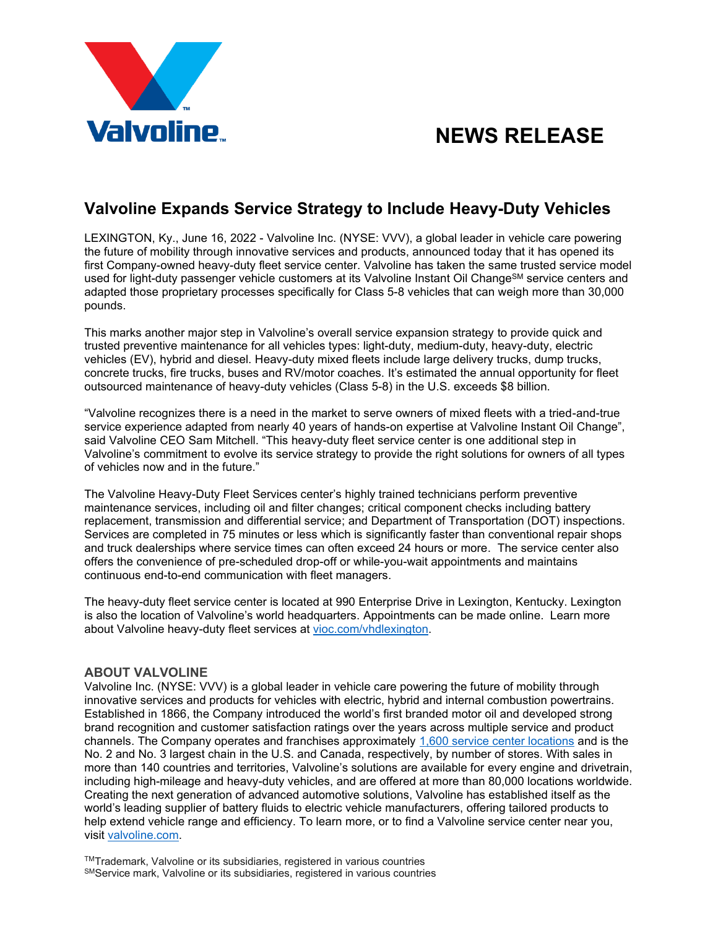# **NEWS RELEASE**



# **Valvoline Expands Service Strategy to Include Heavy-Duty Vehicles**

LEXINGTON, Ky., June 16, 2022 - Valvoline Inc. (NYSE: VVV), a global leader in vehicle care powering the future of mobility through innovative services and products, announced today that it has opened its first Company-owned heavy-duty fleet service center. Valvoline has taken the same trusted service model used for light-duty passenger vehicle customers at its Valvoline Instant Oil Change<sup>SM</sup> service centers and adapted those proprietary processes specifically for Class 5-8 vehicles that can weigh more than 30,000 pounds.

This marks another major step in Valvoline's overall service expansion strategy to provide quick and trusted preventive maintenance for all vehicles types: light-duty, medium-duty, heavy-duty, electric vehicles (EV), hybrid and diesel. Heavy-duty mixed fleets include large delivery trucks, dump trucks, concrete trucks, fire trucks, buses and RV/motor coaches. It's estimated the annual opportunity for fleet outsourced maintenance of heavy-duty vehicles (Class 5-8) in the U.S. exceeds \$8 billion.

"Valvoline recognizes there is a need in the market to serve owners of mixed fleets with a tried-and-true service experience adapted from nearly 40 years of hands-on expertise at Valvoline Instant Oil Change", said Valvoline CEO Sam Mitchell. "This heavy-duty fleet service center is one additional step in Valvoline's commitment to evolve its service strategy to provide the right solutions for owners of all types of vehicles now and in the future."

The Valvoline Heavy-Duty Fleet Services center's highly trained technicians perform preventive maintenance services, including oil and filter changes; critical component checks including battery replacement, transmission and differential service; and Department of Transportation (DOT) inspections. Services are completed in 75 minutes or less which is significantly faster than conventional repair shops and truck dealerships where service times can often exceed 24 hours or more. The service center also offers the convenience of pre-scheduled drop-off or while-you-wait appointments and maintains continuous end-to-end communication with fleet managers.

The heavy-duty fleet service center is located at 990 Enterprise Drive in Lexington, Kentucky. Lexington is also the location of Valvoline's world headquarters. Appointments can be made online. Learn more about Valvoline heavy-duty fleet services at [vioc.com/vhdlexington.](https://www.vioc.com/vhdlexington)

### **ABOUT VALVOLINE**

Valvoline Inc. (NYSE: VVV) is a global leader in vehicle care powering the future of mobility through innovative services and products for vehicles with electric, hybrid and internal combustion powertrains. Established in 1866, the Company introduced the world's first branded motor oil and developed strong brand recognition and customer satisfaction ratings over the years across multiple service and product channels. The Company operates and franchises approximately [1,600 service center locations](https://www.valvoline.com/store-locator?tab=0) and is the No. 2 and No. 3 largest chain in the U.S. and Canada, respectively, by number of stores. With sales in more than 140 countries and territories, Valvoline's solutions are available for every engine and drivetrain, including high-mileage and heavy-duty vehicles, and are offered at more than 80,000 locations worldwide. Creating the next generation of advanced automotive solutions, Valvoline has established itself as the world's leading supplier of battery fluids to electric vehicle manufacturers, offering tailored products to help extend vehicle range and efficiency. To learn more, or to find a Valvoline service center near you, visit [valvoline.com.](http://valvoline.com/)

TMTrademark, Valvoline or its subsidiaries, registered in various countries SMService mark, Valvoline or its subsidiaries, registered in various countries